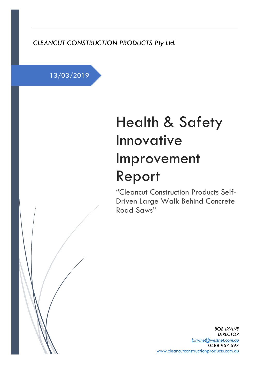*CLEANCUT CONSTRUCTION PRODUCTS Pty Ltd.*

13/03/2019

# Health & Safety Innovative Improvement Report

"Cleancut Construction Products Self-Driven Large Walk Behind Concrete Road Saws"

> *BOB IRVINE DIRECTOR [birvine@westnet.com.au](mailto:birvine@westnet.com.au)* 0488 957 697 [www.cleancutconstructionproducts.com.au](http://www.cleancutconstructionproducts.com.au/)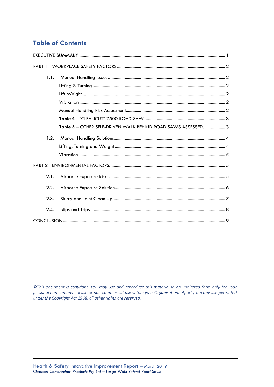# **Table of Contents**

| 1.1. |                                                              |
|------|--------------------------------------------------------------|
|      |                                                              |
|      |                                                              |
|      |                                                              |
|      |                                                              |
|      |                                                              |
|      | Table 5 - OTHER SELF-DRIVEN WALK BEHIND ROAD SAWS ASSESSED 3 |
| 1.2. |                                                              |
|      |                                                              |
|      |                                                              |
|      |                                                              |
| 2.1. |                                                              |
| 2.2. |                                                              |
| 2.3. |                                                              |
| 2.4. |                                                              |
|      |                                                              |

©This document is copyright. You may use and reproduce this material in an unaltered form only for your personal non-commercial use or non-commercial use within your Organisation. Apart from any use permitted under the Copyright Act 1968, all other rights are reserved.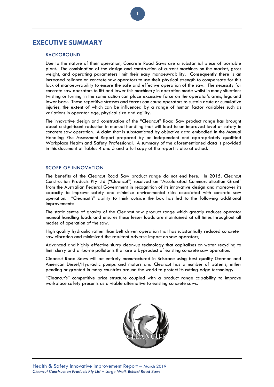# <span id="page-2-0"></span>**EXECUTIVE SUMMARY**

#### BACKGROUND

Due to the nature of their operation, Concrete Road Saws are a substantial piece of portable plant. The combination of the design and construction of current machines on the market, gross weight, and operating parameters limit their easy manoeuvrability. Consequently there is an increased reliance on concrete saw operators to use their physical strength to compensate for this lack of manoeuvrability to ensure the safe and effective operation of the saw. The necessity for concrete saw operators to lift and lower this machinery in operation mode whilst in many situations twisting or turning in the same action can place excessive force on the operator's arms, legs and lower back. These repetitive stresses and forces can cause operators to sustain acute or cumulative injuries, the extent of which can be influenced by a range of human factor variables such as variations in operator age, physical size and agility.

The innovative design and construction of the "Cleancut" Road Saw product range has brought about a significant reduction in manual handling that will lead to an improved level of safety in concrete saw operation. A claim that is substantiated by objective data embodied in the Manual Handling Risk Assessment Report prepared by an independent and appropriately qualified Workplace Health and Safety Professional. A summary of the aforementioned data is provided in this document at Tables 4 and 5 and a full copy of the report is also attached.

### SCOPE OF INNOVATION

The benefits of the Cleancut Road Saw product range do not end here. In 2015, Cleancut Construction Products Pty Ltd ("Cleancut") received an "Accelerated Commercialisation Grant" from the Australian Federal Government in recognition of its innovative design and moreover its capacity to improve safety and minimize environmental risks associated with concrete saw operation. "Cleancut's" ability to think outside the box has led to the following additional improvements:

The static centre of gravity of the Cleancut saw product range which greatly reduces operator manual handling loads and ensures these lesser loads are maintained at all times throughout all modes of operation of the saw.

High quality hydraulic rather than belt driven operation that has substantially reduced concrete saw vibration and minimized the resultant adverse impact on saw operators;

Advanced and highly effective slurry clean-up technology that capitalises on water recycling to limit slurry and airborne pollutants that are a byproduct of existing concrete saw operation.

Cleancut Road Saws will be entirely manufactured in Brisbane using best quality German and American Diesel/Hydraulic pumps and motors and Cleancut has a number of patents, either pending or granted in many countries around the world to protect its cutting-edge technology.

"Cleancut's" competitive price structure coupled with a product range capability to improve workplace safety presents as a viable alternative to existing concrete saws.

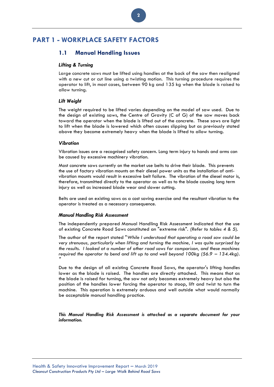# <span id="page-3-2"></span><span id="page-3-1"></span><span id="page-3-0"></span>**PART 1 - WORKPLACE SAFETY FACTORS**

## **1.1 Manual Handling Issues**

#### *Lifting & Turning*

Large concrete saws must be lifted using handles at the back of the saw then realigned with a new cut or cut line using a twisting motion. This turning procedure requires the operator to lift, in most cases, between 90 kg and 135 kg when the blade is raised to allow turning.

**2**

#### <span id="page-3-3"></span>*Lift Weight*

The weight required to be lifted varies depending on the model of saw used. Due to the design of existing saws, the Centre of Gravity (C of G) of the saw moves back toward the operator when the blade is lifted out of the concrete. These saws are light to lift when the blade is lowered which often causes slipping but as previously stated above they become extremely heavy when the blade is lifted to allow turning.

#### <span id="page-3-4"></span>*Vibration*

Vibration issues are a recognised safety concern. Long term injury to hands and arms can be caused by excessive machinery vibration.

Most concrete saws currently on the market use belts to drive their blade. This prevents the use of factory vibration mounts on their diesel power units as the installation of antivibration mounts would result in excessive belt failure. The vibration of the diesel motor is, therefore, transmitted directly to the operator as well as to the blade causing long term injury as well as increased blade wear and slower cutting.

Belts are used on existing saws as a cost saving exercise and the resultant vibration to the operator is treated as a necessary consequence.

#### <span id="page-3-5"></span>*Manual Handling Risk Assessment*

The independently prepared Manual Handling Risk Assessment indicated that the use of existing Concrete Road Saws constituted an "extreme risk". *(Refer to tables 4 & 5*).

The author of the report stated "*While I understood that operating a road saw could be very strenuous, particularly when lifting and turning the machine, I was quite surprised by the results. I looked at a number of other road saws for comparison, and these machines required the operator to bend and lift up to and well beyond*  $100kg$  *(56.9 –*  $134.4kg$ *). "*

Due to the design of all existing Concrete Road Saws, the operator's lifting handles lower as the blade is raised. The handles are directly attached. This means that as the blade is raised for turning, the saw not only becomes extremely heavy but also the position of the handles lower forcing the operator to stoop, lift and twist to turn the machine. This operation is extremely arduous and well outside what would normally be acceptable manual handling practice.

*This Manual Handling Risk Assessment is attached as a separate document for your information.*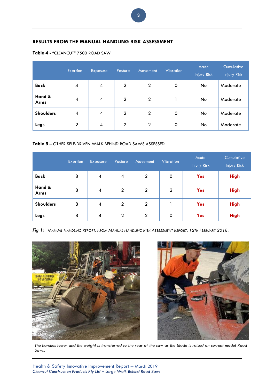## **RESULTS FROM THE MANUAL HANDLING RISK ASSESSMENT**

<span id="page-4-0"></span>

| <b>Table 4 - "CLEANCUT" 7500 ROAD SAW</b> |  |
|-------------------------------------------|--|
|-------------------------------------------|--|

|                  | <b>Exertion</b> | <b>Exposure</b> | Posture        | <b>Movement</b> | <b>Vibration</b> | Acute<br><b>Injury Risk</b> | <b>Cumulative</b><br><b>Injury Risk</b> |
|------------------|-----------------|-----------------|----------------|-----------------|------------------|-----------------------------|-----------------------------------------|
| <b>Back</b>      | $\overline{4}$  | $\overline{4}$  | $\overline{2}$ | $\overline{2}$  | 0                | No.                         | Moderate                                |
| Hand &<br>Arms   | $\overline{4}$  | 4               | $\overline{2}$ | $\overline{2}$  |                  | No                          | Moderate                                |
| <b>Shoulders</b> | 4               | $\overline{4}$  | $\overline{2}$ | $\overline{2}$  | 0                | No.                         | Moderate                                |
| Legs             | $\overline{2}$  | $\overline{4}$  | $\overline{2}$ | $\overline{2}$  | 0                | No                          | Moderate                                |

## <span id="page-4-1"></span>**Table 5 –** OTHER SELF-DRIVEN WALK BEHIND ROAD SAWS ASSESSED

|                       | Exertion | <b>Exposure</b>          | Posture        | Movement       | <b>Vibration</b> | Acute<br><b>Injury Risk</b> | Cumulative<br><b>Injury Risk</b> |
|-----------------------|----------|--------------------------|----------------|----------------|------------------|-----------------------------|----------------------------------|
| <b>Back</b>           | 8        | $\overline{\mathcal{A}}$ | $\overline{4}$ | $\overline{2}$ | $\mathbf 0$      | <b>Yes</b>                  | <b>High</b>                      |
| Hand &<br><b>Arms</b> | 8        | $\overline{\mathcal{A}}$ | $\overline{2}$ | $\overline{2}$ | $\overline{2}$   | <b>Yes</b>                  | <b>High</b>                      |
| <b>Shoulders</b>      | 8        | $\overline{\mathcal{A}}$ | $\overline{2}$ | $\overline{2}$ |                  | <b>Yes</b>                  | <b>High</b>                      |
| Legs                  | 8        | $\overline{\mathcal{A}}$ | $\overline{2}$ | $\overline{2}$ | 0                | <b>Yes</b>                  | <b>High</b>                      |

Fig 1: MANUAL HANDLING REPORT. FROM MANUAL HANDLING RISK ASSESSMENT REPORT, 12TH FEBRUARY 2018.





*The handles lower and the weight is transferred to the rear of the saw as the blade is raised on current model Road Saws.*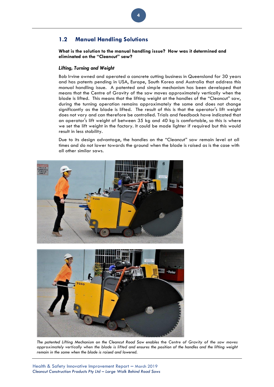## <span id="page-5-0"></span>**1.2 Manual Handling Solutions**

**What is the solution to the manual handling issue? How was it determined and eliminated on the "Cleancut" saw?**

**4**

#### <span id="page-5-1"></span>*Lifting, Turning and Weight*

Bob Irvine owned and operated a concrete cutting business in Queensland for 30 years and has patents pending in USA, Europe, South Korea and Australia that address this manual handling issue. A patented and simple mechanism has been developed that means that the Centre of Gravity of the saw moves approximately vertically when the blade is lifted. This means that the lifting weight at the handles of the "Cleancut" saw, during the turning operation remains approximately the same and does not change significantly as the blade is lifted. The result of this is that the operator's lift weight does not vary and can therefore be controlled. Trials and feedback have indicated that an operator's lift weight of between 35 kg and 40 kg is comfortable, so this is where we set the lift weight in the factory. It could be made lighter if required but this would result in less stability.

Due to its design advantage, the handles on the "Cleancut" saw remain level at all times and do not lower towards the ground when the blade is raised as is the case with all other similar saws.



*The patented Lifting Mechanism on the Cleancut Road Saw enables* the *Centre of Gravity of the saw moves approximately vertically when the blade is lifted and ensures the position of the handles and the lifting weight remain in the same when the blade is raised and lowered.*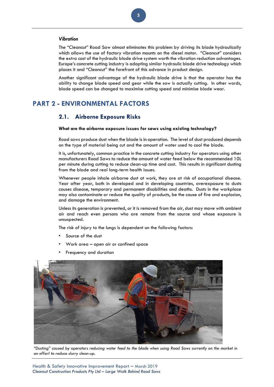## <span id="page-6-0"></span>*Vibration*

The "Cleancut" Road Saw almost eliminates this problem by driving its blade hydraulically which allows the use of factory vibration mounts on the diesel motor. "Cleancut" considers the extra cost of the hydraulic blade drive system worth the vibration reduction advantages. Europe's concrete cutting industry is adopting similar hydraulic blade drive technology which places it and "Cleancut" the forefront of this advance in product design.

Another significant advantage of the hydraulic blade drive is that the operator has the ability to change blade speed and gear while the saw is actually cutting. In other words, blade speed can be changed to maximise cutting speed and minimise blade wear.

# <span id="page-6-2"></span><span id="page-6-1"></span>**PART 2 - ENVIRONMENTAL FACTORS**

## **2.1. Airborne Exposure Risks**

#### **What are the airborne exposure issues for saws using existing technology?**

Road saws produce dust when the blade is in operation. The level of dust produced depends on the type of material being cut and the amount of water used to cool the blade.

It is, unfortunately, common practice in the concrete cutting industry for operators using other manufacturers Road Saws to reduce the amount of water feed below the recommended 10L per minute during cutting to reduce clean-up time and cost. This results in significant dusting from the blade and real long-term health issues.

Whenever people inhale airborne dust at work, they are at risk of occupational disease. Year after year, both in developed and in developing countries, overexposure to dusts causes disease, temporary and permanent disabilities and deaths. Dusts in the workplace may also contaminate or reduce the quality of products, be the cause of fire and explosion, and damage the environment.

Unless its generation is prevented, or it is removed from the air, dust may move with ambient air and reach even persons who are remote from the source and whose exposure is unsuspected.

The risk of injury to the lungs is dependent on the following factors:

- Source of the dust
- Work area open air or confined space
- Frequency and duration



*"Dusting" caused by operators reducing water feed to the blade when using Road Saws currently on the market in an effort to reduce slurry clean-up.*

**5**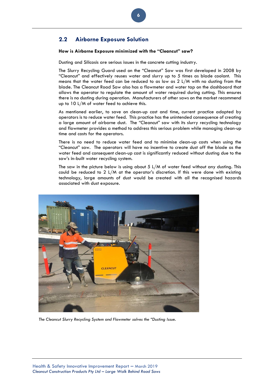## <span id="page-7-0"></span>**2.2 Airborne Exposure Solution**

### **How is Airborne Exposure minimized with the "Cleancut" saw?**

Dusting and Silicosis are serious issues in the concrete cutting industry.

**6**

The Slurry Recycling Guard used on the "Cleancut" Saw was first developed in 2008 by "Cleancut" and effectively reuses water and slurry up to 5 times as blade coolant. This means that the water feed can be reduced to as low as 2 L/M with no dusting from the blade. The Cleancut Road Saw also has a flowmeter and water tap on the dashboard that allows the operator to regulate the amount of water required during cutting. This ensures there is no dusting during operation. Manufacturers of other saws on the market recommend up to 10 L/M of water feed to achieve this.

As mentioned earlier, to save on clean-up cost and time, current practice adopted by operators is to reduce water feed. This practice has the unintended consequence of creating a large amount of airborne dust. The "Cleancut" saw with its slurry recycling technology and flowmeter provides a method to address this serious problem while managing clean-up time and costs for the operators.

There is no need to reduce water feed and to minimise clean-up costs when using the "Cleancut" saw. The operators will have no incentive to create dust off the blade as the water feed and consequent clean-up cost is significantly reduced without dusting due to the saw's in-built water recycling system.

The saw in the picture below is using about  $5 \text{ L/M}$  of water feed without any dusting. This could be reduced to 2 L/M at the operator's discretion. If this were done with existing technology, large amounts of dust would be created with all the recognised hazards associated with dust exposure.



*The Cleancut Slurry Recycling System and Flowmeter solves the "Dusting Issue.*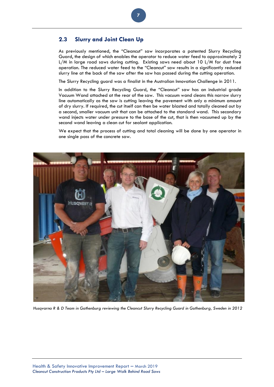## <span id="page-8-0"></span>**2.3 Slurry and Joint Clean Up**

As previously mentioned, the "Cleancut" saw incorporates a patented Slurry Recycling Guard, the design of which enables the operator to reduce water feed to approximately 2 L/M in large road saws during cutting. Existing saws need about 10 L/M for dust free operation. The reduced water feed to the "Cleancut" saw results in a significantly reduced slurry line at the back of the saw after the saw has passed during the cutting operation.

**7**

The Slurry Recycling guard was a finalist in the Australian Innovation Challenge in 2011.

In addition to the Slurry Recycling Guard, the "Cleancut" saw has an industrial grade Vacuum Wand attached at the rear of the saw. This vacuum wand cleans this narrow slurry line automatically as the saw is cutting leaving the pavement with only a minimum amount of dry slurry. If required, the cut itself can then be water blasted and totally cleaned out by a second, smaller vacuum unit that can be attached to the standard wand. This secondary wand injects water under pressure to the base of the cut, that is then vacuumed up by the second wand leaving a clean cut for sealant application.

We expect that the process of cutting and total cleaning will be done by one operator in one single pass of the concrete saw.



*Husqvarna R & D Team in Gothenburg reviewing the Cleancut Slurry Recycling Guard in Gothenburg, Sweden in 2012*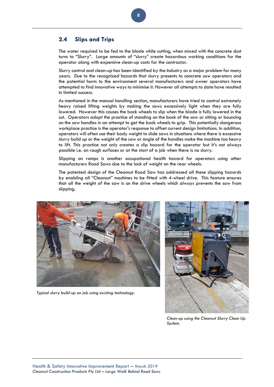## <span id="page-9-0"></span>**2.4 Slips and Trips**

The water required to be fed to the blade while cutting, when mixed with the concrete dust turns to "Slurry". Large amounts of "slurry" create hazardous working conditions for the operator along with expensive clean-up costs for the contractor.

Slurry control and clean-up has been identified by the Industry as a major problem for many years. Due to the recognized hazards that slurry presents to concrete saw operators and the potential harm to the environment several manufacturers and owner operators have attempted to find innovative ways to minimise it. However all attempts to date have resulted in limited success.

As mentioned in the manual handling section, manufacturers have tried to control extremely heavy raised lifting weights by making the saws excessively light when they are fully lowered. However this causes the back wheels to slip when the blade is fully lowered in the cut. Operators adopt the practice of standing on the back of the saw or sitting or bouncing on the saw handles in an attempt to get the back wheels to grip. This potentially dangerous workplace practice is the operator's response to offset current design limitations. In addition, operators will often use their body weight to slide saws in situations where there is excessive slurry build up or the weight of the saw or angle of the handles make the machine too heavy to lift. This practice not only creates a slip hazard for the operator but it's not always possible i.e. on rough surfaces or at the start of a job when there is no slurry.

Slipping on ramps is another occupational health hazard for operators using other manufacturers Road Saws due to the lack of weight on the rear wheels.

The patented design of the Cleancut Road Saw has addressed all these slipping hazards by enabling all "Cleancut" machines to be fitted with 4-wheel drive. This feature ensures that all the weight of the saw is on the drive wheels which always prevents the saw from slipping.



*Typical slurry build-up on job using existing technology.*



*Clean-up using the Cleancut Slurry Clean Up System.*